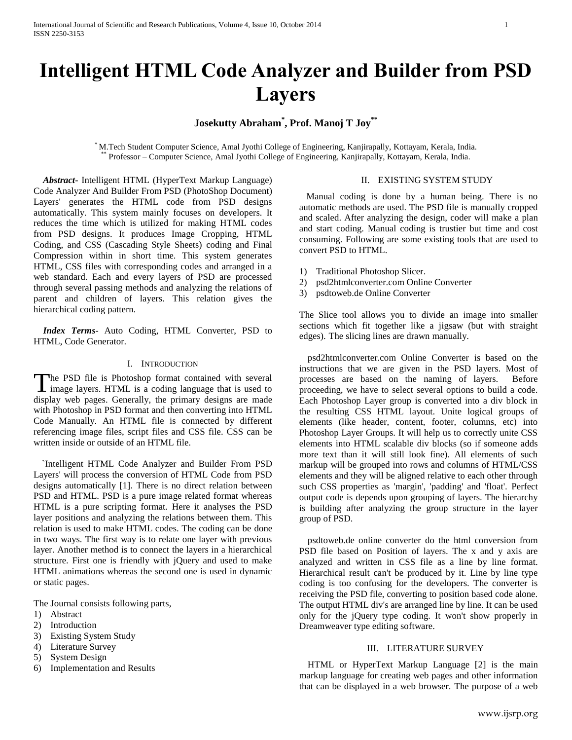# **Intelligent HTML Code Analyzer and Builder from PSD Layers**

# **Josekutty Abraham\* , Prof. Manoj T Joy\*\***

\* M.Tech Student Computer Science, Amal Jyothi College of Engineering, Kanjirapally, Kottayam, Kerala, India. \*\* Professor – Computer Science, Amal Jyothi College of Engineering, Kanjirapally, Kottayam, Kerala, India.

 *Abstract***-** Intelligent HTML (HyperText Markup Language) Code Analyzer And Builder From PSD (PhotoShop Document) Layers' generates the HTML code from PSD designs automatically. This system mainly focuses on developers. It reduces the time which is utilized for making HTML codes from PSD designs. It produces Image Cropping, HTML Coding, and CSS (Cascading Style Sheets) coding and Final Compression within in short time. This system generates HTML, CSS files with corresponding codes and arranged in a web standard. Each and every layers of PSD are processed through several passing methods and analyzing the relations of parent and children of layers. This relation gives the hierarchical coding pattern.

 *Index Terms*- Auto Coding, HTML Converter, PSD to HTML, Code Generator.

## I. INTRODUCTION

he PSD file is Photoshop format contained with several The PSD file is Photoshop format contained with several image layers. HTML is a coding language that is used to display web pages. Generally, the primary designs are made with Photoshop in PSD format and then converting into HTML Code Manually. An HTML file is connected by different referencing image files, script files and CSS file. CSS can be written inside or outside of an HTML file.

`Intelligent HTML Code Analyzer and Builder From PSD Layers' will process the conversion of HTML Code from PSD designs automatically [1]. There is no direct relation between PSD and HTML. PSD is a pure image related format whereas HTML is a pure scripting format. Here it analyses the PSD layer positions and analyzing the relations between them. This relation is used to make HTML codes. The coding can be done in two ways. The first way is to relate one layer with previous layer. Another method is to connect the layers in a hierarchical structure. First one is friendly with jQuery and used to make HTML animations whereas the second one is used in dynamic or static pages.

The Journal consists following parts,

- 1) Abstract
- 2) Introduction
- 3) Existing System Study
- 4) Literature Survey
- 5) System Design
- 6) Implementation and Results

## II. EXISTING SYSTEM STUDY

 Manual coding is done by a human being. There is no automatic methods are used. The PSD file is manually cropped and scaled. After analyzing the design, coder will make a plan and start coding. Manual coding is trustier but time and cost consuming. Following are some existing tools that are used to convert PSD to HTML.

- 1) Traditional Photoshop Slicer.
- 2) psd2htmlconverter.com Online Converter
- 3) psdtoweb.de Online Converter

The Slice tool allows you to divide an image into smaller sections which fit together like a jigsaw (but with straight edges). The slicing lines are drawn manually.

psd2htmlconverter.com Online Converter is based on the instructions that we are given in the PSD layers. Most of processes are based on the naming of layers. Before proceeding, we have to select several options to build a code. Each Photoshop Layer group is converted into a div block in the resulting CSS HTML layout. Unite logical groups of elements (like header, content, footer, columns, etc) into Photoshop Layer Groups. It will help us to correctly unite CSS elements into HTML scalable div blocks (so if someone adds more text than it will still look fine). All elements of such markup will be grouped into rows and columns of HTML/CSS elements and they will be aligned relative to each other through such CSS properties as 'margin', 'padding' and 'float'. Perfect output code is depends upon grouping of layers. The hierarchy is building after analyzing the group structure in the layer group of PSD.

psdtoweb.de online converter do the html conversion from PSD file based on Position of layers. The x and y axis are analyzed and written in CSS file as a line by line format. Hierarchical result can't be produced by it. Line by line type coding is too confusing for the developers. The converter is receiving the PSD file, converting to position based code alone. The output HTML div's are arranged line by line. It can be used only for the jQuery type coding. It won't show properly in Dreamweaver type editing software.

## III. LITERATURE SURVEY

HTML or HyperText Markup Language [2] is the main markup language for creating web pages and other information that can be displayed in a web browser. The purpose of a web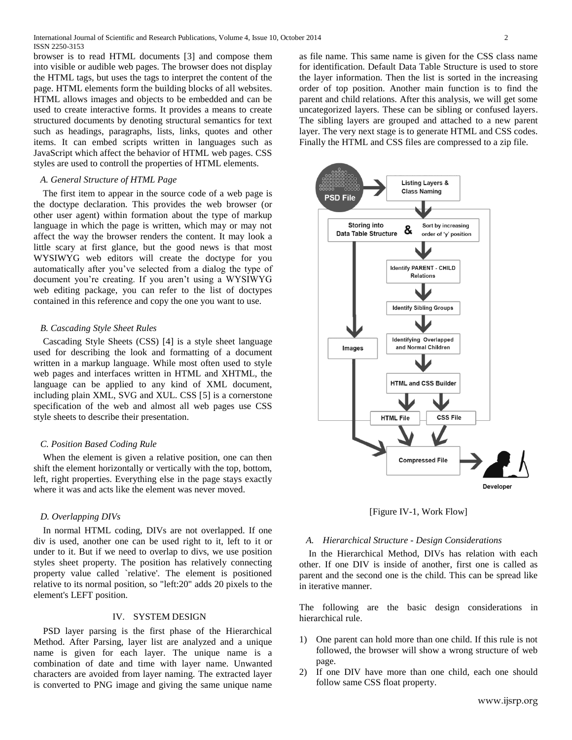browser is to read HTML documents [3] and compose them into visible or audible web pages. The browser does not display the HTML tags, but uses the tags to interpret the content of the page. HTML elements form the building blocks of all websites. HTML allows images and objects to be embedded and can be used to create interactive forms. It provides a means to create structured documents by denoting structural semantics for text such as headings, paragraphs, lists, links, quotes and other items. It can embed scripts written in languages such as JavaScript which affect the behavior of HTML web pages. CSS styles are used to controll the properties of HTML elements.

## *A. General Structure of HTML Page*

 The first item to appear in the source code of a web page is the doctype declaration. This provides the web browser (or other user agent) within formation about the type of markup language in which the page is written, which may or may not affect the way the browser renders the content. It may look a little scary at first glance, but the good news is that most WYSIWYG web editors will create the doctype for you automatically after you've selected from a dialog the type of document you're creating. If you aren't using a WYSIWYG web editing package, you can refer to the list of doctypes contained in this reference and copy the one you want to use.

# *B. Cascading Style Sheet Rules*

 Cascading Style Sheets (CSS) [4] is a style sheet language used for describing the look and formatting of a document written in a markup language. While most often used to style web pages and interfaces written in HTML and XHTML, the language can be applied to any kind of XML document, including plain XML, SVG and XUL. CSS [5] is a cornerstone specification of the web and almost all web pages use CSS style sheets to describe their presentation.

## *C. Position Based Coding Rule*

 When the element is given a relative position, one can then shift the element horizontally or vertically with the top, bottom, left, right properties. Everything else in the page stays exactly where it was and acts like the element was never moved.

#### *D. Overlapping DIVs*

 In normal HTML coding, DIVs are not overlapped. If one div is used, another one can be used right to it, left to it or under to it. But if we need to overlap to divs, we use position styles sheet property. The position has relatively connecting property value called `relative'. The element is positioned relative to its normal position, so "left:20" adds 20 pixels to the element's LEFT position.

# IV. SYSTEM DESIGN

 PSD layer parsing is the first phase of the Hierarchical Method. After Parsing, layer list are analyzed and a unique name is given for each layer. The unique name is a combination of date and time with layer name. Unwanted characters are avoided from layer naming. The extracted layer is converted to PNG image and giving the same unique name

as file name. This same name is given for the CSS class name for identification. Default Data Table Structure is used to store the layer information. Then the list is sorted in the increasing order of top position. Another main function is to find the parent and child relations. After this analysis, we will get some uncategorized layers. These can be sibling or confused layers. The sibling layers are grouped and attached to a new parent layer. The very next stage is to generate HTML and CSS codes. Finally the HTML and CSS files are compressed to a zip file.



[Figure IV-1, Work Flow]

## *A. Hierarchical Structure - Design Considerations*

 In the Hierarchical Method, DIVs has relation with each other. If one DIV is inside of another, first one is called as parent and the second one is the child. This can be spread like in iterative manner.

The following are the basic design considerations in hierarchical rule.

- 1) One parent can hold more than one child. If this rule is not followed, the browser will show a wrong structure of web page.
- 2) If one DIV have more than one child, each one should follow same CSS float property.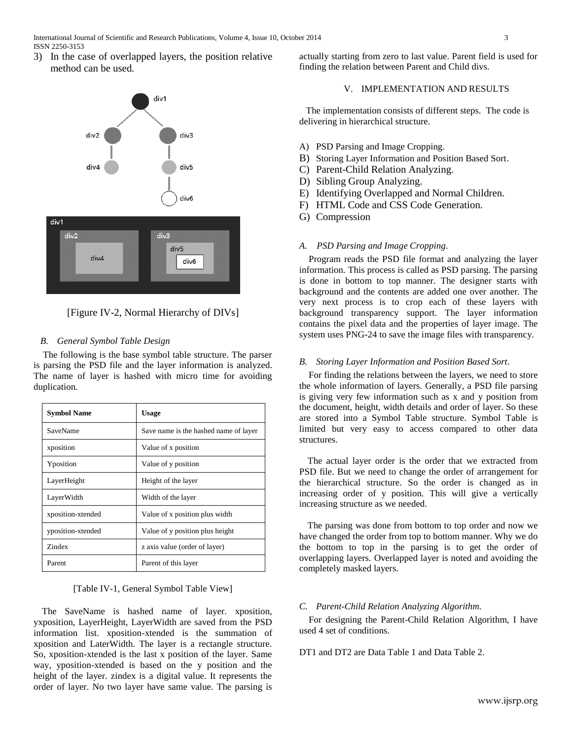3) In the case of overlapped layers, the position relative method can be used.



[Figure IV-2, Normal Hierarchy of DIVs]

# *B. General Symbol Table Design*

 The following is the base symbol table structure. The parser is parsing the PSD file and the layer information is analyzed. The name of layer is hashed with micro time for avoiding duplication.

| <b>Symbol Name</b> | Usage                                 |
|--------------------|---------------------------------------|
| SaveName           | Save name is the hashed name of layer |
| xposition          | Value of x position                   |
| Yposition          | Value of y position                   |
| LayerHeight        | Height of the layer                   |
| LayerWidth         | Width of the layer                    |
| xposition-xtended  | Value of x position plus width        |
| yposition-xtended  | Value of y position plus height       |
| Zindex             | z axis value (order of layer)         |
| Parent             | Parent of this layer                  |

# [Table IV-1, General Symbol Table View]

The SaveName is hashed name of layer. xposition, yxposition, LayerHeight, LayerWidth are saved from the PSD information list. xposition-xtended is the summation of xposition and LaterWidth. The layer is a rectangle structure. So, xposition-xtended is the last x position of the layer. Same way, yposition-xtended is based on the y position and the height of the layer. zindex is a digital value. It represents the order of layer. No two layer have same value. The parsing is

actually starting from zero to last value. Parent field is used for finding the relation between Parent and Child divs.

# V. IMPLEMENTATION AND RESULTS

The implementation consists of different steps. The code is delivering in hierarchical structure.

- A) PSD Parsing and Image Cropping.
- B) Storing Layer Information and Position Based Sort.
- C) Parent-Child Relation Analyzing.
- D) Sibling Group Analyzing.
- E) Identifying Overlapped and Normal Children.
- F) HTML Code and CSS Code Generation.
- G) Compression

# *A. PSD Parsing and Image Cropping.*

 Program reads the PSD file format and analyzing the layer information. This process is called as PSD parsing. The parsing is done in bottom to top manner. The designer starts with background and the contents are added one over another. The very next process is to crop each of these layers with background transparency support. The layer information contains the pixel data and the properties of layer image. The system uses PNG-24 to save the image files with transparency.

# *B. Storing Layer Information and Position Based Sort.*

 For finding the relations between the layers, we need to store the whole information of layers. Generally, a PSD file parsing is giving very few information such as x and y position from the document, height, width details and order of layer. So these are stored into a Symbol Table structure. Symbol Table is limited but very easy to access compared to other data structures.

The actual layer order is the order that we extracted from PSD file. But we need to change the order of arrangement for the hierarchical structure. So the order is changed as in increasing order of y position. This will give a vertically increasing structure as we needed.

The parsing was done from bottom to top order and now we have changed the order from top to bottom manner. Why we do the bottom to top in the parsing is to get the order of overlapping layers. Overlapped layer is noted and avoiding the completely masked layers.

# *C. Parent-Child Relation Analyzing Algorithm.*

 For designing the Parent-Child Relation Algorithm, I have used 4 set of conditions.

DT1 and DT2 are Data Table 1 and Data Table 2.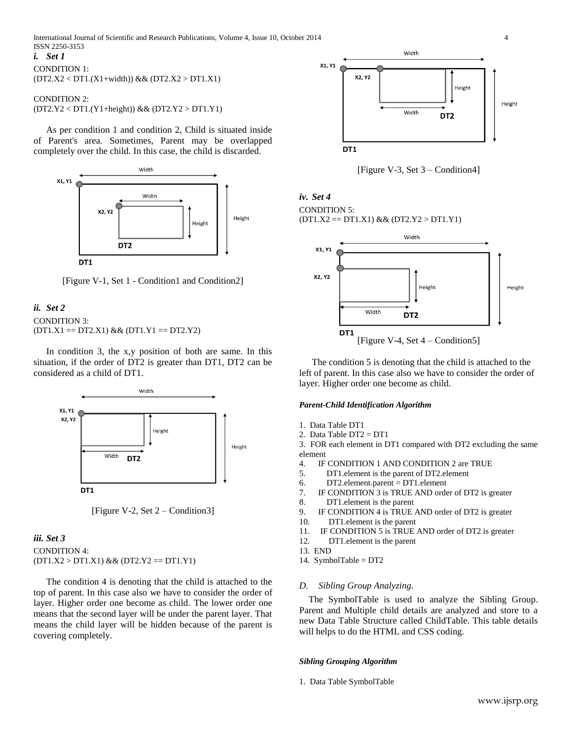*i. Set 1*

CONDITION 1: (DT2.X2 < DT1.(X1+width)) && (DT2.X2 > DT1.X1)

# CONDITION 2: (DT2.Y2 < DT1.(Y1+height)) && (DT2.Y2 > DT1.Y1)

As per condition 1 and condition 2, Child is situated inside of Parent's area. Sometimes, Parent may be overlapped completely over the child. In this case, the child is discarded.



[Figure V-1, Set 1 - Condition1 and Condition2]

# *ii. Set 2* CONDITION 3:  $(DT1.X1 == DT2.X1) && (DT1.Y1 == DT2.Y2)$

In condition 3, the x,y position of both are same. In this situation, if the order of DT2 is greater than DT1, DT2 can be considered as a child of DT1.



[Figure V-2, Set 2 – Condition3]

# *iii. Set 3* CONDITION 4:  $(DT1.X2 > DT1.X1) && (DT2.Y2 == DT1.Y1)$

The condition 4 is denoting that the child is attached to the top of parent. In this case also we have to consider the order of layer. Higher order one become as child. The lower order one means that the second layer will be under the parent layer. That means the child layer will be hidden because of the parent is covering completely.



[Figure V-3, Set 3 – Condition4]

# *iv. Set 4* CONDITION 5:

 $(DT1.X2 == DT1.X1) & & (DT2.Y2 > DT1.Y1)$ 



The condition 5 is denoting that the child is attached to the left of parent. In this case also we have to consider the order of layer. Higher order one become as child.

# *Parent-Child Identification Algorithm*

- 1. Data Table DT1
- 2. Data Table  $DT2 = DT1$

3. FOR each element in DT1 compared with DT2 excluding the same element

- 4. IF CONDITION 1 AND CONDITION 2 are TRUE
- 5. DT1.element is the parent of DT2.element
- $6.$  DT2.element.parent = DT1.element
- 7. IF CONDITION 3 is TRUE AND order of DT2 is greater
- 8. DT1.element is the parent
- 9. IF CONDITION 4 is TRUE AND order of DT2 is greater
- 10. DT1.element is the parent
- 11. IF CONDITION 5 is TRUE AND order of DT2 is greater
- 12. DT1.element is the parent
- 13. END
- 14. SymbolTable = DT2

# *D. Sibling Group Analyzing.*

 The SymbolTable is used to analyze the Sibling Group. Parent and Multiple child details are analyzed and store to a new Data Table Structure called ChildTable. This table details will helps to do the HTML and CSS coding.

# *Sibling Grouping Algorithm*

1. Data Table SymbolTable